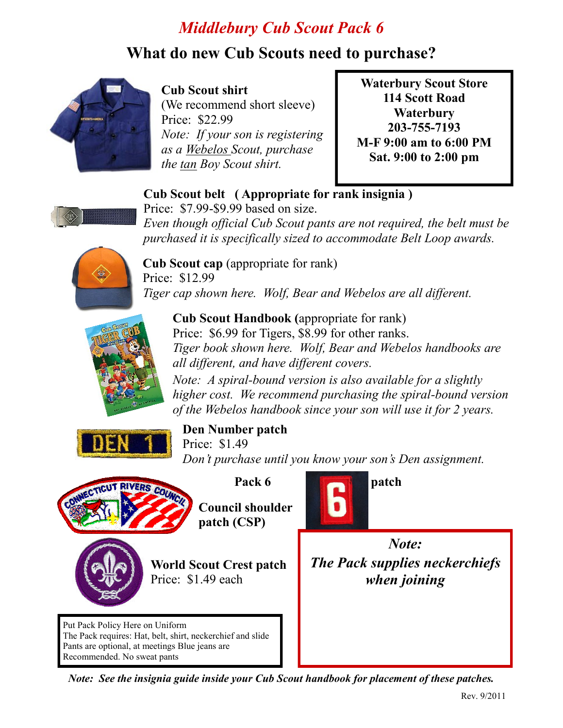# *Middlebury Cub Scout Pack 6*

## **What do new Cub Scouts need to purchase?**



#### **Cub%Scout%shirt**

(We recommend short sleeve) Price: \$22.99 *Note: If your son is registering as&a&Webelos&Scout,&purchase& the tan Boy Scout shirt.* 

**Waterbury Scout Store 114 Scott Road Waterbury 203C755C7193 M-F 9:00 am to 6:00 PM Sat. 9:00 to 2:00 pm** 

#### **Cub Scout belt** (Appropriate for rank insignia)



Price:  $$7.99-S9.99$  based on size. *Even though official Cub Scout pants are not required, the belt must be* purchased it is specifically sized to accommodate Belt Loop awards.



**Cub Scout cap** (appropriate for rank) Price: \$12.99 *Tiger cap shown here. Wolf, Bear and Webelos are all different.* 



**Cub Scout Handbook** (appropriate for rank) Price: \$6.99 for Tigers, \$8.99 for other ranks. *Tiger book shown here. Wolf, Bear and Webelos handbooks are all different, and have different covers. Note: A spiral-bound version is also available for a slightly higher cost.* We recommend purchasing the spiral-bound version *of the Webelos handbook since your son will use it for 2 years.* 



#### **Den Number patch**

Price: \$1.49 *Don't purchase until you know your son's Den assignment.* 



patch (CSP)

**Council shoulder** 

**World Scout Crest patch** Price: \$1.49 each

Put Pack Policy Here on Uniform The Pack requires: Hat, belt, shirt, neckerchief and slide Pants are optional, at meetings Blue jeans are Recommended. No sweat pants



*Note: The Pack supplies neckerchiefs when&joining&*

*Note: See the insignia guide inside your Cub Scout handbook for placement of these patches.*